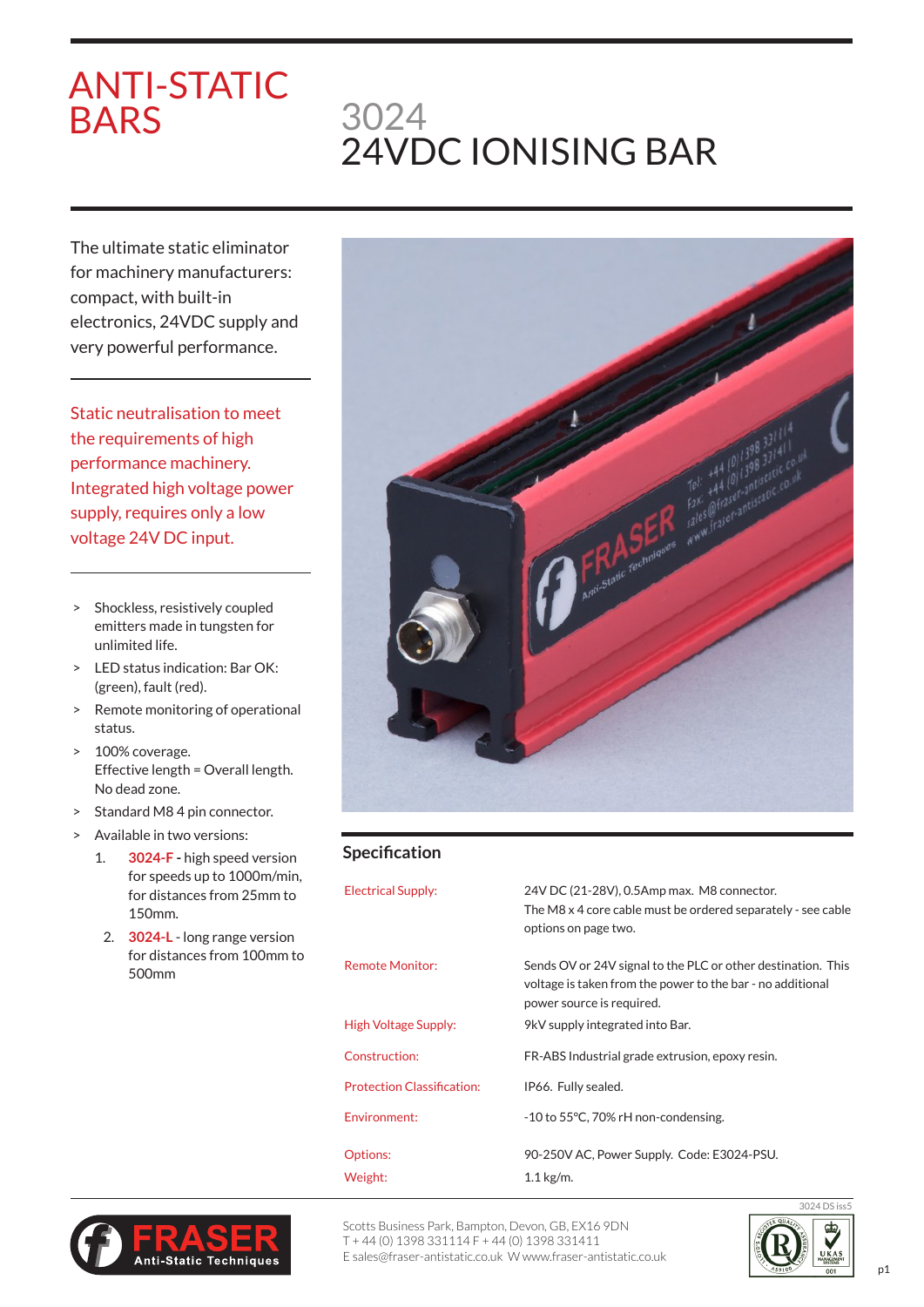# ANTI-STATIC BARS

# 3024 24VDC IONISING BAR

The ultimate static eliminator for machinery manufacturers: compact, with built-in electronics, 24VDC supply and very powerful performance.

Static neutralisation to meet the requirements of high performance machinery. Integrated high voltage power supply, requires only a low voltage 24V DC input.

- > Shockless, resistively coupled emitters made in tungsten for unlimited life.
- > LED status indication: Bar OK: (green), fault (red).
- > Remote monitoring of operational status.
- > 100% coverage. Effective length = Overall length. No dead zone.
- > Standard M8 4 pin connector.
- > Available in two versions:
	- 1. **3024-F** high speed version for speeds up to 1000m/min, for distances from 25mm to 150mm.
		- 2. **3024-L** long range version for distances from 100mm to 500mm



## **Specification**

| <b>Electrical Supply:</b>         | 24V DC (21-28V), 0.5Amp max. M8 connector.<br>The M8 x 4 core cable must be ordered separately - see cable<br>options on page two.                      |
|-----------------------------------|---------------------------------------------------------------------------------------------------------------------------------------------------------|
| Remote Monitor:                   | Sends OV or 24V signal to the PLC or other destination. This<br>voltage is taken from the power to the bar - no additional<br>power source is required. |
| High Voltage Supply:              | 9kV supply integrated into Bar.                                                                                                                         |
| Construction:                     | FR-ABS Industrial grade extrusion, epoxy resin.                                                                                                         |
| <b>Protection Classification:</b> | IP66. Fully sealed.                                                                                                                                     |
| Environment:                      | -10 to 55°C, 70% rH non-condensing.                                                                                                                     |
| Options:                          | 90-250V AC, Power Supply. Code: E3024-PSU.                                                                                                              |
| Weight:                           | $1.1$ kg/m.                                                                                                                                             |



Scotts Business Park, Bampton, Devon, GB, EX16 9DN T + 44 (0) 1398 331114 F + 44 (0) 1398 331411 E sales@fraser-antistatic.co.uk W www.fraser-antistatic.co.uk